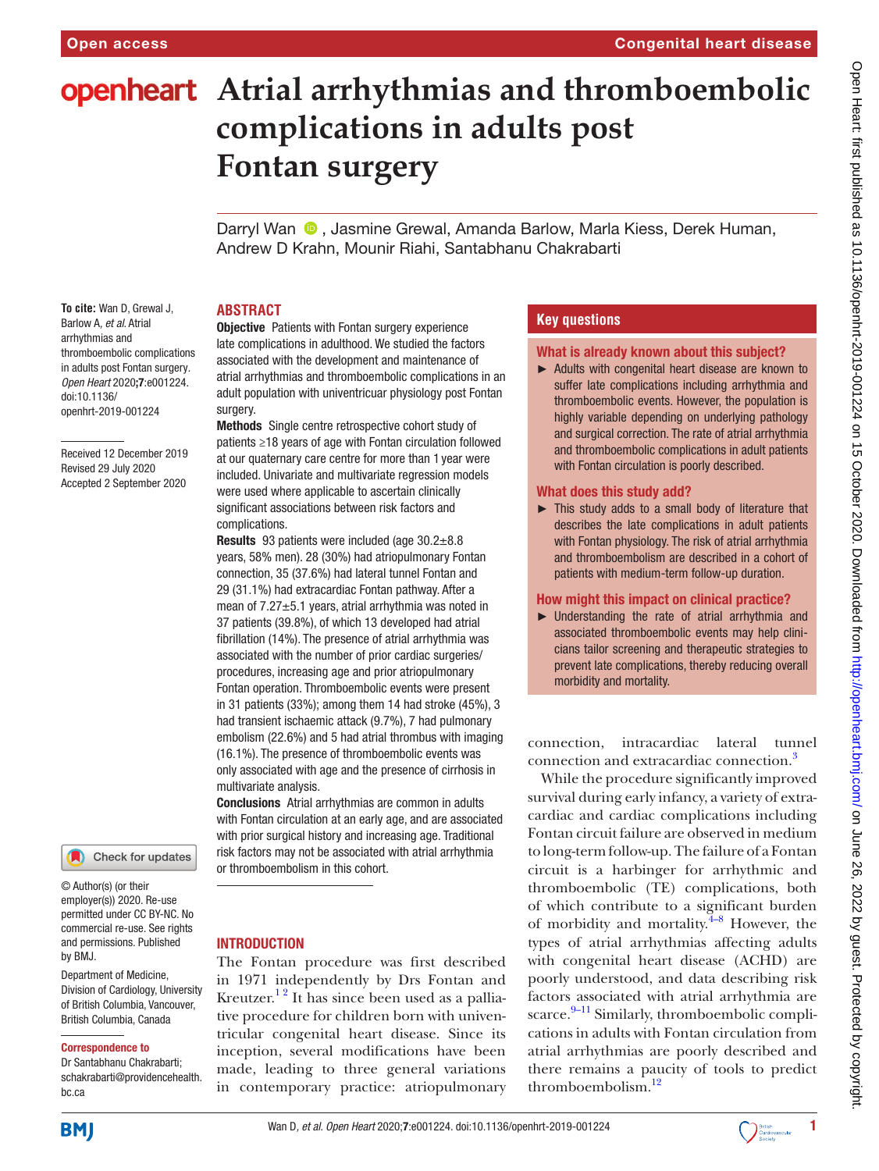# **openheart** Atrial arrhythmias and thromboembolic **complications in adults post Fontan surgery**

Darryl Wan  $\bullet$ , Jasmine Grewal, Amanda Barlow, Marla Kiess, Derek Human, Andrew D Krahn, Mounir Riahi, Santabhanu Chakrabarti

## **ABSTRACT**

**To cite:** Wan D, Grewal J, Barlow A*, et al*. Atrial arrhythmias and thromboembolic complications in adults post Fontan surgery*. Open Heart* 2020;7:e001224. doi:10.1136/ openhrt-2019-001224

Received 12 December 2019 Revised 29 July 2020 Accepted 2 September 2020

## Check for updates

© Author(s) (or their employer(s)) 2020. Re-use permitted under CC BY-NC. No commercial re-use. See rights and permissions. Published by BMJ.

Department of Medicine, Division of Cardiology, University of British Columbia, Vancouver, British Columbia, Canada

#### Correspondence to

Dr Santabhanu Chakrabarti; schakrabarti@providencehealth. bc.ca

**Objective** Patients with Fontan surgery experience late complications in adulthood. We studied the factors associated with the development and maintenance of atrial arrhythmias and thromboembolic complications in an adult population with univentricuar physiology post Fontan surgery.

Methods Single centre retrospective cohort study of patients ≥18 years of age with Fontan circulation followed at our quaternary care centre for more than 1 year were included. Univariate and multivariate regression models were used where applicable to ascertain clinically significant associations between risk factors and complications.

Results 93 patients were included (age 30.2±8.8 years, 58% men). 28 (30%) had atriopulmonary Fontan connection, 35 (37.6%) had lateral tunnel Fontan and 29 (31.1%) had extracardiac Fontan pathway. After a mean of 7.27±5.1 years, atrial arrhythmia was noted in 37 patients (39.8%), of which 13 developed had atrial fibrillation (14%). The presence of atrial arrhythmia was associated with the number of prior cardiac surgeries/ procedures, increasing age and prior atriopulmonary Fontan operation. Thromboembolic events were present in 31 patients (33%); among them 14 had stroke (45%), 3 had transient ischaemic attack (9.7%), 7 had pulmonary embolism (22.6%) and 5 had atrial thrombus with imaging (16.1%). The presence of thromboembolic events was only associated with age and the presence of cirrhosis in multivariate analysis.

Conclusions Atrial arrhythmias are common in adults with Fontan circulation at an early age, and are associated with prior surgical history and increasing age. Traditional risk factors may not be associated with atrial arrhythmia or thromboembolism in this cohort.

#### INTRODUCTION

The Fontan procedure was first described in 1971 independently by Drs Fontan and Kreutzer.<sup>12</sup> It has since been used as a palliative procedure for children born with univentricular congenital heart disease. Since its inception, several modifications have been made, leading to three general variations in contemporary practice: atriopulmonary

## **Key questions**

#### What is already known about this subject?

► Adults with congenital heart disease are known to suffer late complications including arrhythmia and thromboembolic events. However, the population is highly variable depending on underlying pathology and surgical correction. The rate of atrial arrhythmia and thromboembolic complications in adult patients with Fontan circulation is poorly described.

#### What does this study add?

► This study adds to a small body of literature that describes the late complications in adult patients with Fontan physiology. The risk of atrial arrhythmia and thromboembolism are described in a cohort of patients with medium-term follow-up duration.

#### How might this impact on clinical practice?

► Understanding the rate of atrial arrhythmia and associated thromboembolic events may help clinicians tailor screening and therapeutic strategies to prevent late complications, thereby reducing overall morbidity and mortality.

connection, intracardiac lateral tunnel connection and extracardiac connection.<sup>3</sup>

While the procedure significantly improved survival during early infancy, a variety of extracardiac and cardiac complications including Fontan circuit failure are observed in medium to long-term follow-up. The failure of a Fontan circuit is a harbinger for arrhythmic and thromboembolic (TE) complications, both of which contribute to a significant burden of morbidity and mortality. $4-8$  However, the types of atrial arrhythmias affecting adults with congenital heart disease (ACHD) are poorly understood, and data describing risk factors associated with atrial arrhythmia are scarce.<sup>9-11</sup> Similarly, thromboembolic complications in adults with Fontan circulation from atrial arrhythmias are poorly described and there remains a paucity of tools to predict thromboembolism.<sup>[12](#page-4-4)</sup>

**BMJ** 

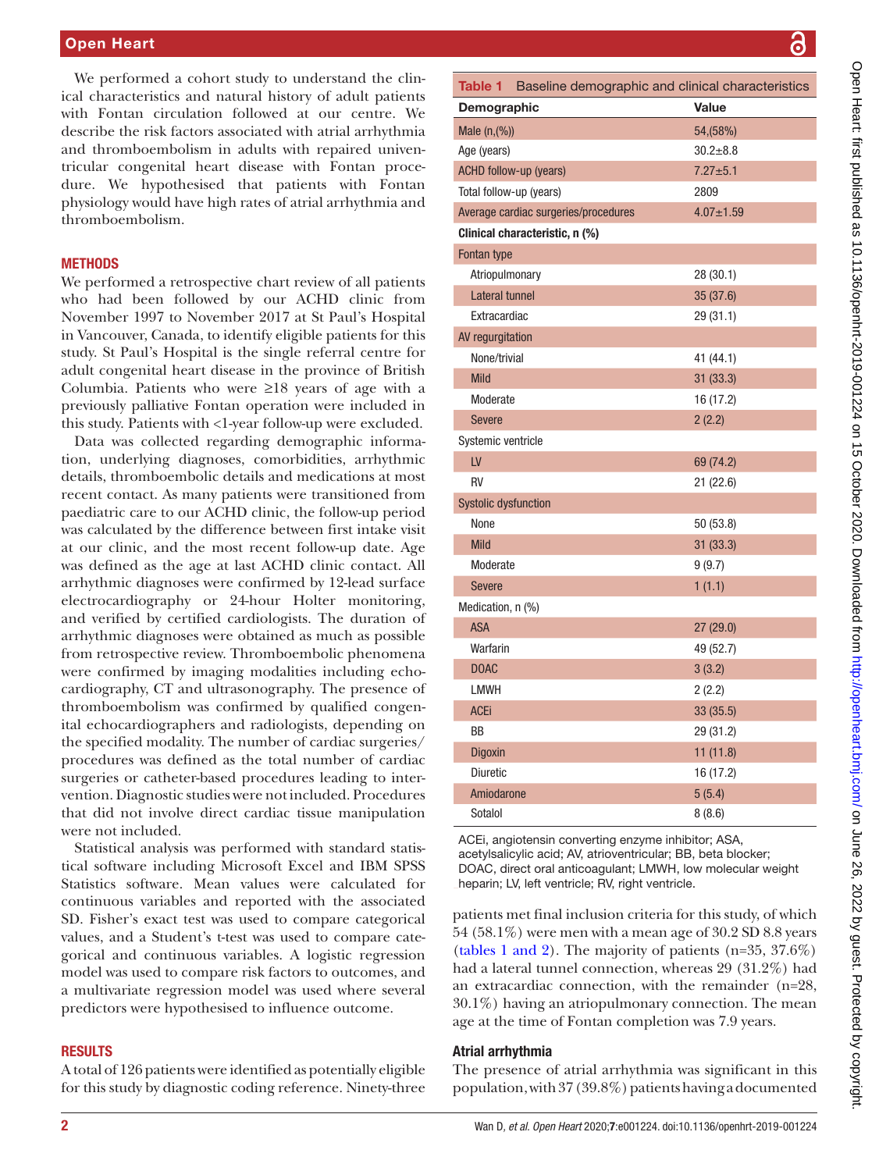We performed a cohort study to understand the clinical characteristics and natural history of adult patients with Fontan circulation followed at our centre. We describe the risk factors associated with atrial arrhythmia and thromboembolism in adults with repaired univentricular congenital heart disease with Fontan procedure. We hypothesised that patients with Fontan physiology would have high rates of atrial arrhythmia and thromboembolism.

I

## **METHODS**

We performed a retrospective chart review of all patients who had been followed by our ACHD clinic from November 1997 to November 2017 at St Paul's Hospital in Vancouver, Canada, to identify eligible patients for this study. St Paul's Hospital is the single referral centre for adult congenital heart disease in the province of British Columbia. Patients who were ≥18 years of age with a previously palliative Fontan operation were included in this study. Patients with <1-year follow-up were excluded.

Data was collected regarding demographic information, underlying diagnoses, comorbidities, arrhythmic details, thromboembolic details and medications at most recent contact. As many patients were transitioned from paediatric care to our ACHD clinic, the follow-up period was calculated by the difference between first intake visit at our clinic, and the most recent follow-up date. Age was defined as the age at last ACHD clinic contact. All arrhythmic diagnoses were confirmed by 12-lead surface electrocardiography or 24-hour Holter monitoring, and verified by certified cardiologists. The duration of arrhythmic diagnoses were obtained as much as possible from retrospective review. Thromboembolic phenomena were confirmed by imaging modalities including echocardiography, CT and ultrasonography. The presence of thromboembolism was confirmed by qualified congenital echocardiographers and radiologists, depending on the specified modality. The number of cardiac surgeries/ procedures was defined as the total number of cardiac surgeries or catheter-based procedures leading to intervention. Diagnostic studies were not included. Procedures that did not involve direct cardiac tissue manipulation were not included.

Statistical analysis was performed with standard statistical software including Microsoft Excel and IBM SPSS Statistics software. Mean values were calculated for continuous variables and reported with the associated SD. Fisher's exact test was used to compare categorical values, and a Student's t-test was used to compare categorical and continuous variables. A logistic regression model was used to compare risk factors to outcomes, and a multivariate regression model was used where several predictors were hypothesised to influence outcome.

## RESULTS

A total of 126 patients were identified as potentially eligible for this study by diagnostic coding reference. Ninety-three

<span id="page-1-0"></span>

| Table 1 Baseline demographic and clinical characteristics |                 |  |
|-----------------------------------------------------------|-----------------|--|
| Demographic                                               | <b>Value</b>    |  |
| Male (n, (%))                                             | 54, (58%)       |  |
| Age (years)                                               | $30.2 + 8.8$    |  |
| <b>ACHD follow-up (years)</b>                             | $7.27 + 5.1$    |  |
| Total follow-up (years)                                   | 2809            |  |
| Average cardiac surgeries/procedures                      | $4.07 \pm 1.59$ |  |
| Clinical characteristic, n (%)                            |                 |  |
| Fontan type                                               |                 |  |
| Atriopulmonary                                            | 28 (30.1)       |  |
| Lateral tunnel                                            | 35 (37.6)       |  |
| Extracardiac                                              | 29 (31.1)       |  |
| AV regurgitation                                          |                 |  |
| None/trivial                                              | 41 (44.1)       |  |
| <b>Mild</b>                                               | 31 (33.3)       |  |
| Moderate                                                  | 16 (17.2)       |  |
| <b>Severe</b>                                             | 2(2.2)          |  |
| Systemic ventricle                                        |                 |  |
| LV                                                        | 69 (74.2)       |  |
| RV                                                        | 21 (22.6)       |  |
| <b>Systolic dysfunction</b>                               |                 |  |
| None                                                      | 50 (53.8)       |  |
| <b>Mild</b>                                               | 31 (33.3)       |  |
| Moderate                                                  | 9(9.7)          |  |
| <b>Severe</b>                                             | 1(1.1)          |  |
| Medication, n (%)                                         |                 |  |
| <b>ASA</b>                                                | 27 (29.0)       |  |
| Warfarin                                                  | 49 (52.7)       |  |
| <b>DOAC</b>                                               | 3(3.2)          |  |
| <b>LMWH</b>                                               | 2(2.2)          |  |
| <b>ACEi</b>                                               | 33 (35.5)       |  |
| BB                                                        | 29 (31.2)       |  |
| Digoxin                                                   | 11(11.8)        |  |
| <b>Diuretic</b>                                           | 16 (17.2)       |  |
| Amiodarone                                                | 5(5.4)          |  |
| Sotalol                                                   | 8(8.6)          |  |

ACEi, angiotensin converting enzyme inhibitor; ASA, acetylsalicylic acid; AV, atrioventricular; BB, beta blocker; DOAC, direct oral anticoagulant; LMWH, low molecular weight heparin; LV, left ventricle; RV, right ventricle.

patients met final inclusion criteria for this study, of which 54 (58.1%) were men with a mean age of 30.2 SD 8.8 years (tables [1 and 2](#page-1-0)). The majority of patients (n=35, 37.6%) had a lateral tunnel connection, whereas 29 (31.2%) had an extracardiac connection, with the remainder (n=28, 30.1%) having an atriopulmonary connection. The mean age at the time of Fontan completion was 7.9 years.

# Atrial arrhythmia

The presence of atrial arrhythmia was significant in this population, with 37 (39.8%) patients having a documented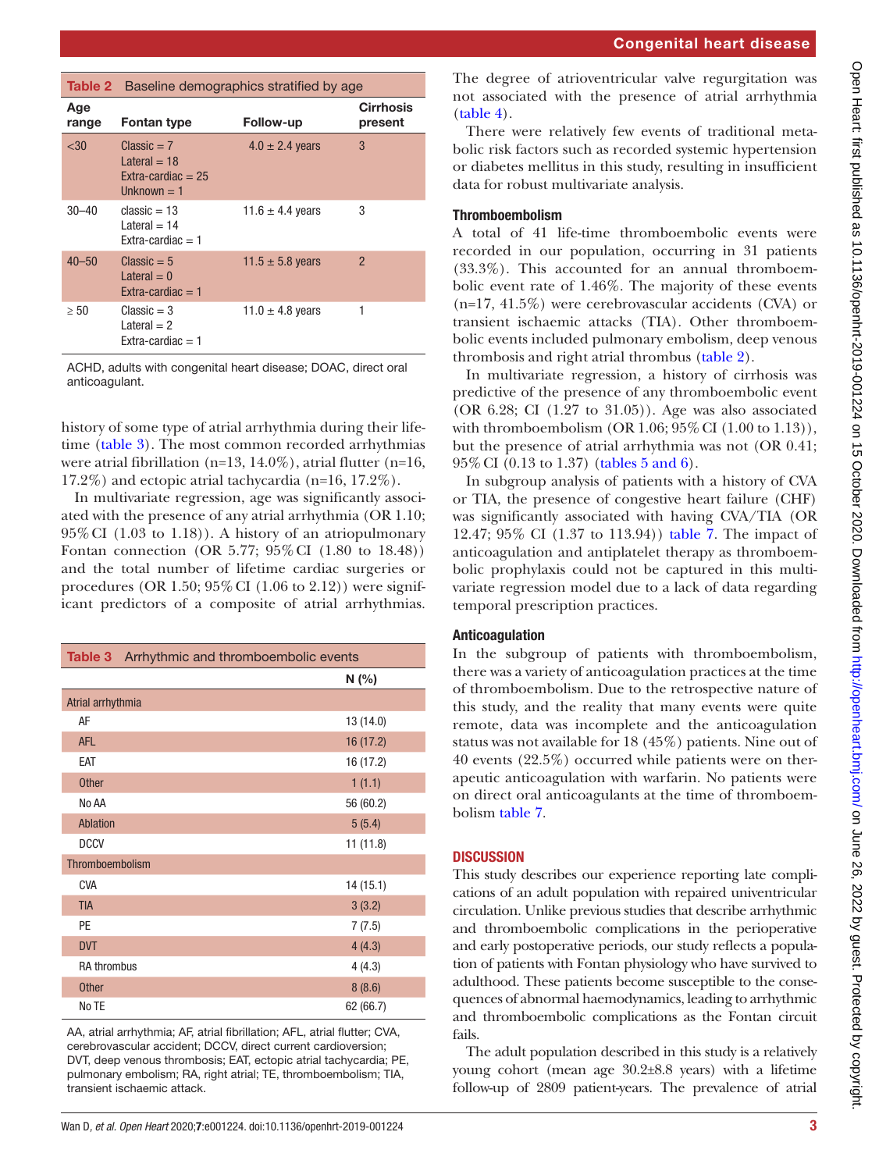<span id="page-2-1"></span>

|              | <b>Table 2</b> Baseline demographics stratified by age                          |                      |                             |
|--------------|---------------------------------------------------------------------------------|----------------------|-----------------------------|
| Age<br>range | Fontan type                                                                     | Follow-up            | <b>Cirrhosis</b><br>present |
| $30$         | $Classic = 7$<br>$l$ ateral $=$ 18<br>$Extra-cardiac = 25$<br>$l$ Inknown $=$ 1 | $4.0 \pm 2.4$ years  | 3                           |
| $30 - 40$    | $classic = 13$<br>Lateral $= 14$<br>$Fxtra-cardiac = 1$                         | 11.6 $\pm$ 4.4 years | 3                           |
| $40 - 50$    | $Classic = 5$<br>Lateral $= 0$<br>Extra-cardiac $=$ 1                           | 11.5 $\pm$ 5.8 years | $\mathcal{P}$               |
| $\geq 50$    | $Classic = 3$<br>Lateral $= 2$<br>$Fxtra-cardiac = 1$                           | 11.0 $\pm$ 4.8 years | 1                           |

ACHD, adults with congenital heart disease; DOAC, direct oral anticoagulant.

history of some type of atrial arrhythmia during their lifetime [\(table](#page-2-0) 3). The most common recorded arrhythmias were atrial fibrillation (n=13, 14.0%), atrial flutter (n=16, 17.2%) and ectopic atrial tachycardia (n=16, 17.2%).

In multivariate regression, age was significantly associated with the presence of any atrial arrhythmia (OR 1.10; 95%CI (1.03 to 1.18)). A history of an atriopulmonary Fontan connection (OR 5.77; 95%CI (1.80 to 18.48)) and the total number of lifetime cardiac surgeries or procedures (OR 1.50;  $95\%$  CI (1.06 to 2.12)) were significant predictors of a composite of atrial arrhythmias.

<span id="page-2-0"></span>

| <b>Table 3</b> Arrhythmic and thromboembolic events |           |  |
|-----------------------------------------------------|-----------|--|
|                                                     | N(%)      |  |
| Atrial arrhythmia                                   |           |  |
| AF                                                  | 13 (14.0) |  |
| <b>AFL</b>                                          | 16 (17.2) |  |
| EAT                                                 | 16 (17.2) |  |
| <b>Other</b>                                        | 1(1.1)    |  |
| No AA                                               | 56 (60.2) |  |
| Ablation                                            | 5(5.4)    |  |
| <b>DCCV</b>                                         | 11(11.8)  |  |
| Thromboembolism                                     |           |  |
| CVA                                                 | 14(15.1)  |  |
| <b>TIA</b>                                          | 3(3.2)    |  |
| PE                                                  | 7(7.5)    |  |
| <b>DVT</b>                                          | 4(4.3)    |  |
| <b>RA thrombus</b>                                  | 4(4.3)    |  |
| <b>Other</b>                                        | 8(8.6)    |  |
| No TE                                               | 62 (66.7) |  |

AA, atrial arrhythmia; AF, atrial fibrillation; AFL, atrial flutter; CVA, cerebrovascular accident; DCCV, direct current cardioversion; DVT, deep venous thrombosis; EAT, ectopic atrial tachycardia; PE, pulmonary embolism; RA, right atrial; TE, thromboembolism; TIA, transient ischaemic attack.

The degree of atrioventricular valve regurgitation was not associated with the presence of atrial arrhythmia [\(table](#page-3-0) 4).

There were relatively few events of traditional metabolic risk factors such as recorded systemic hypertension or diabetes mellitus in this study, resulting in insufficient data for robust multivariate analysis.

## Thromboembolism

A total of 41 life-time thromboembolic events were recorded in our population, occurring in 31 patients (33.3%). This accounted for an annual thromboembolic event rate of 1.46%. The majority of these events (n=17, 41.5%) were cerebrovascular accidents (CVA) or transient ischaemic attacks (TIA). Other thromboembolic events included pulmonary embolism, deep venous thrombosis and right atrial thrombus [\(table](#page-2-1) 2).

In multivariate regression, a history of cirrhosis was predictive of the presence of any thromboembolic event (OR 6.28; CI (1.27 to 31.05)). Age was also associated with thromboembolism  $(OR 1.06; 95\% CI (1.00 to 1.13)),$ but the presence of atrial arrhythmia was not (OR 0.41; 95%CI (0.13 to 1.37) (tables [5 and 6\)](#page-3-1).

In subgroup analysis of patients with a history of CVA or TIA, the presence of congestive heart failure (CHF) was significantly associated with having CVA/TIA (OR 12.47; 95% CI (1.37 to 113.94)) [table](#page-3-2) 7. The impact of anticoagulation and antiplatelet therapy as thromboembolic prophylaxis could not be captured in this multivariate regression model due to a lack of data regarding temporal prescription practices.

## Anticoagulation

In the subgroup of patients with thromboembolism, there was a variety of anticoagulation practices at the time of thromboembolism. Due to the retrospective nature of this study, and the reality that many events were quite remote, data was incomplete and the anticoagulation status was not available for 18 (45%) patients. Nine out of 40 events (22.5%) occurred while patients were on therapeutic anticoagulation with warfarin. No patients were on direct oral anticoagulants at the time of thromboembolism [table](#page-3-2) 7.

# **DISCUSSION**

This study describes our experience reporting late complications of an adult population with repaired univentricular circulation. Unlike previous studies that describe arrhythmic and thromboembolic complications in the perioperative and early postoperative periods, our study reflects a population of patients with Fontan physiology who have survived to adulthood. These patients become susceptible to the consequences of abnormal haemodynamics, leading to arrhythmic and thromboembolic complications as the Fontan circuit fails.

The adult population described in this study is a relatively young cohort (mean age 30.2±8.8 years) with a lifetime follow-up of 2809 patient-years. The prevalence of atrial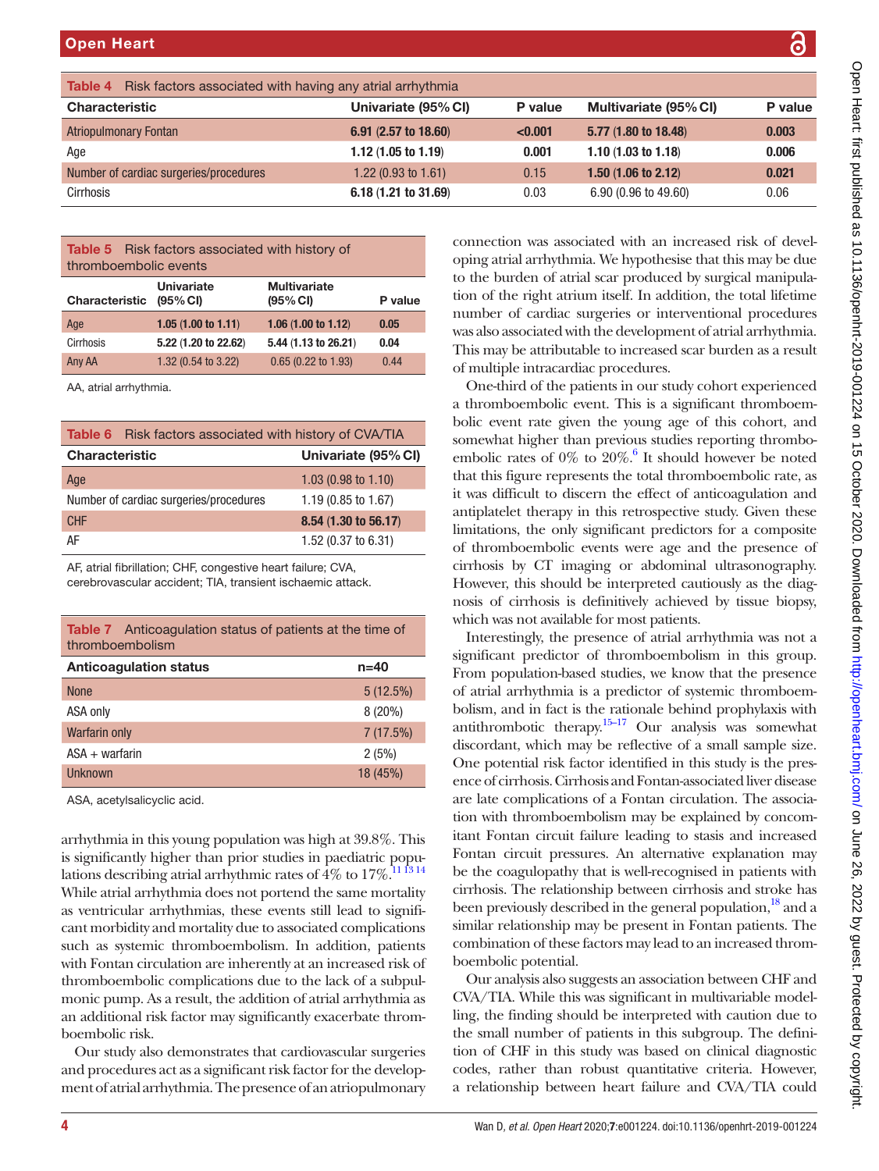|                                                             |         | Cpen                                                                 |
|-------------------------------------------------------------|---------|----------------------------------------------------------------------|
| e (95% CI)                                                  | P value |                                                                      |
| 18.48                                                       | 0.003   | Healt. Ili St Dublished as                                           |
| 1.18)                                                       | 0.006   |                                                                      |
| 2.12)                                                       | 0.021   |                                                                      |
| 49.60)                                                      | 0.06    |                                                                      |
|                                                             |         |                                                                      |
|                                                             |         |                                                                      |
| an increased risk of devel-<br>thesise that this may be due |         |                                                                      |
| uced by surgical manipula-                                  |         | IU. LICULTERITES UN SERVICORDO CULTO CONTROVING ANNIQUES INTERNATION |
| addition, the total lifetime                                |         |                                                                      |
| interventional procedures                                   |         |                                                                      |
| pment of atrial arrhythmia.                                 |         |                                                                      |
| ased scar burden as a result                                |         |                                                                      |
| es.                                                         |         |                                                                      |
| r study cohort experienced                                  |         |                                                                      |
| a significant thromboem-                                    |         |                                                                      |
| g age of this cohort, and                                   |         |                                                                      |
| studies reporting thrombo-<br>should however be noted       |         |                                                                      |
| al thromboembolic rate, as                                  |         |                                                                      |
| ect of anticoagulation and                                  |         |                                                                      |
| spective study. Given these                                 |         |                                                                      |
| predictors for a composite                                  |         |                                                                      |
| age and the presence of                                     |         |                                                                      |
| odominal ultrasonography.                                   |         |                                                                      |
| eted cautiously as the diag-                                |         |                                                                      |
| achieved by tissue biopsy,                                  |         |                                                                      |
| patients.                                                   |         |                                                                      |
| atrial arrhythmia was not a                                 |         |                                                                      |
| oembolism in this group.                                    |         |                                                                      |
| we know that the presence<br>or of systemic thromboem-      |         |                                                                      |
| le behind prophylaxis with                                  |         | ∖opel                                                                |
| ur analysis was somewhat                                    |         |                                                                      |
| tive of a small sample size.                                |         |                                                                      |
| ed in this study is the pres-                               |         |                                                                      |
| ntan-associated liver disease                               |         |                                                                      |
| an circulation. The associa-                                |         |                                                                      |
| be explained by concom-                                     |         | L.DITIJ.COTTI/UTIJJULIE ZO,                                          |
| ing to stasis and increased                                 |         |                                                                      |
| ternative explanation may                                   |         |                                                                      |
| recognised in patients with<br>en cirrhosis and stroke has  |         |                                                                      |
| general population, <sup>18</sup> and a                     |         |                                                                      |
|                                                             |         |                                                                      |

<span id="page-3-0"></span>

| <b>Table 4</b> Risk factors associated with having any atrial arrhythmia |                                |         |                                |         |
|--------------------------------------------------------------------------|--------------------------------|---------|--------------------------------|---------|
| <b>Characteristic</b>                                                    | Univariate (95% CI)            | P value | Multivariate (95% CI)          | P value |
| <b>Atriopulmonary Fontan</b>                                             | $6.91$ (2.57 to 18.60)         | < 0.001 | 5.77 (1.80 to 18.48)           | 0.003   |
| Age                                                                      | 1.12 $(1.05 \text{ to } 1.19)$ | 0.001   | 1.10 $(1.03 \text{ to } 1.18)$ | 0.006   |
| Number of cardiac surgeries/procedures                                   | 1.22 $(0.93 \text{ to } 1.61)$ | 0.15    | $1.50(1.06 \text{ to } 2.12)$  | 0.021   |
| Cirrhosis                                                                | $6.18(1.21)$ to $31.69$        | 0.03    | $6.90(0.96 \text{ to } 49.60)$ | 0.06    |

<span id="page-3-1"></span>Table 5 Risk factors associated with history of thromboembolic events Univariate **Multivariate** 

| $(95\% \, \text{Cl})$          | (95% CI)                       | P value   |
|--------------------------------|--------------------------------|-----------|
| 1.05(1.00 to 1.11)             | 1.06 $(1.00 \text{ to } 1.12)$ | 0.05      |
| 5.22 (1.20 to 22.62)           | 5.44 (1.13 to 26.21)           | 0.04      |
| 1.32 $(0.54 \text{ to } 3.22)$ | $0.65$ (0.22 to 1.93)          | 0.44      |
|                                | UIIIvaliale                    | munvanate |

AA, atrial arrhythmia.

| <b>Table 6</b> Risk factors associated with history of CVA/TIA |                                |  |
|----------------------------------------------------------------|--------------------------------|--|
| <b>Characteristic</b>                                          | Univariate (95% CI)            |  |
| Age                                                            | 1.03 $(0.98 \text{ to } 1.10)$ |  |
| Number of cardiac surgeries/procedures                         | $1.19(0.85 \text{ to } 1.67)$  |  |
| <b>CHF</b>                                                     | 8.54 (1.30 to 56.17)           |  |
| AF                                                             | 1.52 $(0.37 \text{ to } 6.31)$ |  |

AF, atrial fibrillation; CHF, congestive heart failure; CVA, cerebrovascular accident; TIA, transient ischaemic attack.

<span id="page-3-2"></span>

| <b>Table 7</b> Anticoagulation status of patients at the time of<br>thromboembolism |           |  |
|-------------------------------------------------------------------------------------|-----------|--|
| <b>Anticoagulation status</b>                                                       | $n = 40$  |  |
| <b>None</b>                                                                         | 5(12.5%)  |  |
| ASA only                                                                            | $8(20\%)$ |  |
| <b>Warfarin only</b>                                                                | 7(17.5%)  |  |
| $ASA + warfarin$                                                                    | 2(5%)     |  |
| Unknown                                                                             | 18 (45%)  |  |

ASA, acetylsalicyclic acid.

arrhythmia in this young population was high at 39.8%. This is significantly higher than prior studies in paediatric populations describing atrial arrhythmic rates of  $4\%$  to  $17\%$ .<sup>111314</sup> While atrial arrhythmia does not portend the same mortality as ventricular arrhythmias, these events still lead to significant morbidity and mortality due to associated complications such as systemic thromboembolism. In addition, patients with Fontan circulation are inherently at an increased risk of thromboembolic complications due to the lack of a subpulmonic pump. As a result, the addition of atrial arrhythmia as an additional risk factor may significantly exacerbate thromboembolic risk.

Our study also demonstrates that cardiovascular surgeries and procedures act as a significant risk factor for the development of atrial arrhythmia. The presence of an atriopulmonary

connection was associated with oping atrial arrhythmia. We hypo to the burden of atrial scar prod tion of the right atrium itself. In number of cardiac surgeries or was also associated with the development of attacks are at a set at a set at  $\alpha$ . This may be attributable to increase of multiple intracardiac procedur

One-third of the patients in our study contains the patients of the patients in our study contained the contain a thromboembolic event. This is bolic event rate given the young somewhat higher than previous s embolic rates of 0% to  $20\%$ .<sup>6</sup> It It should however be noted that this figure represents the total that it was difficult to discern the eff antiplatelet therapy in this retro limitations, the only significant  $\mu$ of thromboembolic events were cirrhosis by CT imaging or ab However, this should be interpreted as  $\mathcal{L}$ nosis of cirrhosis is definitively which was not available for most p

Interestingly, the presence of a significant predictor of thromb From population-based studies, we of atrial arrhythmia is a predictor bolism, and in fact is the rational antithrombotic therapy. $15-17$  Ou discordant, which may be reflect One potential risk factor identified ence of cirrhosis. Cirrhosis and Fo are late complications of a Fonta tion with thromboembolism may itant Fontan circuit failure leadi Fontan circuit pressures. An al be the coagulopathy that is wellcirrhosis. The relationship betwe been previously described in the g similar relationship may be present in Fontan patients. The combination of these factors may lead to an increased thromboembolic potential.

Our analysis also suggests an association between CHF and CVA/TIA. While this was significant in multivariable modelling, the finding should be interpreted with caution due to the small number of patients in this subgroup. The definition of CHF in this study was based on clinical diagnostic codes, rather than robust quantitative criteria. However, a relationship between heart failure and CVA/TIA could